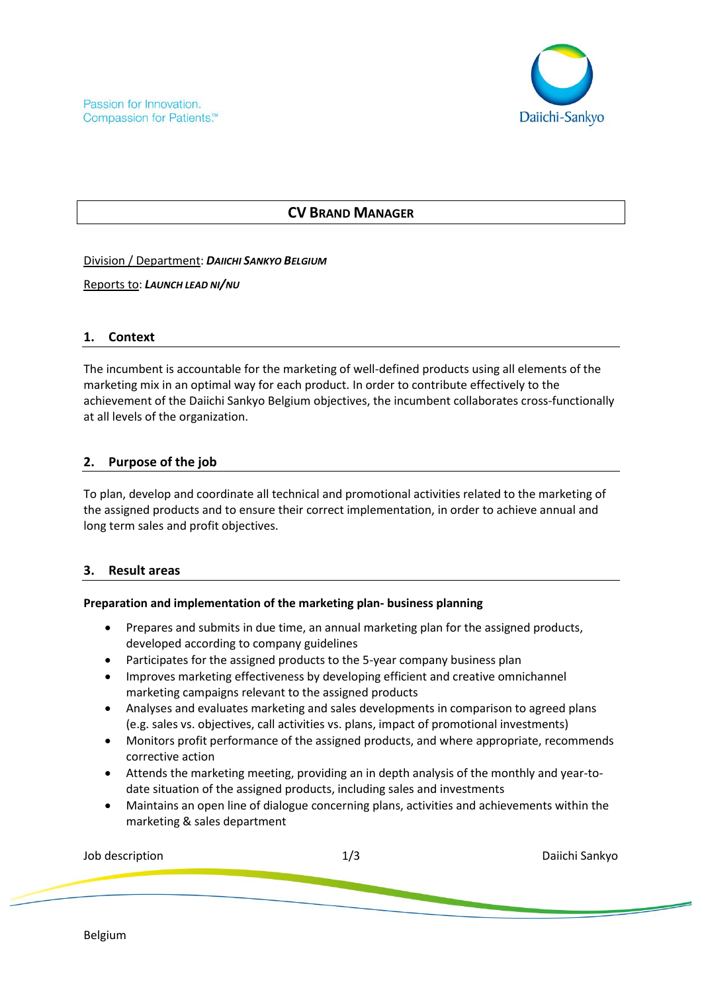

# **CV BRAND MANAGER**

Division / Department: *DAIICHI SANKYO BELGIUM*

Reports to: *LAUNCH LEAD NI/NU*

## **1. Context**

The incumbent is accountable for the marketing of well-defined products using all elements of the marketing mix in an optimal way for each product. In order to contribute effectively to the achievement of the Daiichi Sankyo Belgium objectives, the incumbent collaborates cross-functionally at all levels of the organization.

## **2. Purpose of the job**

To plan, develop and coordinate all technical and promotional activities related to the marketing of the assigned products and to ensure their correct implementation, in order to achieve annual and long term sales and profit objectives.

### **3. Result areas**

### **Preparation and implementation of the marketing plan- business planning**

- Prepares and submits in due time, an annual marketing plan for the assigned products, developed according to company guidelines
- Participates for the assigned products to the 5-year company business plan
- Improves marketing effectiveness by developing efficient and creative omnichannel marketing campaigns relevant to the assigned products
- Analyses and evaluates marketing and sales developments in comparison to agreed plans (e.g. sales vs. objectives, call activities vs. plans, impact of promotional investments)
- Monitors profit performance of the assigned products, and where appropriate, recommends corrective action
- Attends the marketing meeting, providing an in depth analysis of the monthly and year-todate situation of the assigned products, including sales and investments
- Maintains an open line of dialogue concerning plans, activities and achievements within the marketing & sales department

| Job description | 1/3 | Daiichi Sankyo |
|-----------------|-----|----------------|
|                 |     |                |
|                 |     |                |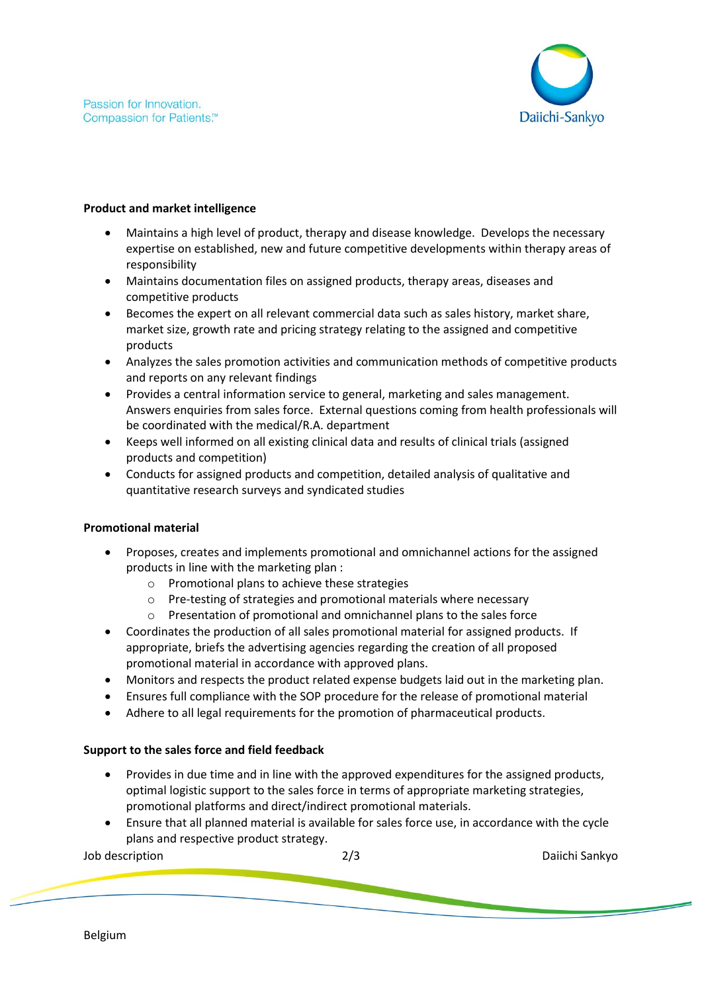

### **Product and market intelligence**

- Maintains a high level of product, therapy and disease knowledge. Develops the necessary expertise on established, new and future competitive developments within therapy areas of responsibility
- Maintains documentation files on assigned products, therapy areas, diseases and competitive products
- Becomes the expert on all relevant commercial data such as sales history, market share, market size, growth rate and pricing strategy relating to the assigned and competitive products
- Analyzes the sales promotion activities and communication methods of competitive products and reports on any relevant findings
- Provides a central information service to general, marketing and sales management. Answers enquiries from sales force. External questions coming from health professionals will be coordinated with the medical/R.A. department
- Keeps well informed on all existing clinical data and results of clinical trials (assigned products and competition)
- Conducts for assigned products and competition, detailed analysis of qualitative and quantitative research surveys and syndicated studies

### **Promotional material**

- Proposes, creates and implements promotional and omnichannel actions for the assigned products in line with the marketing plan :
	- o Promotional plans to achieve these strategies
	- o Pre-testing of strategies and promotional materials where necessary
	- o Presentation of promotional and omnichannel plans to the sales force
- Coordinates the production of all sales promotional material for assigned products. If appropriate, briefs the advertising agencies regarding the creation of all proposed promotional material in accordance with approved plans.
- Monitors and respects the product related expense budgets laid out in the marketing plan.
- Ensures full compliance with the SOP procedure for the release of promotional material
- Adhere to all legal requirements for the promotion of pharmaceutical products.

## **Support to the sales force and field feedback**

- Provides in due time and in line with the approved expenditures for the assigned products, optimal logistic support to the sales force in terms of appropriate marketing strategies, promotional platforms and direct/indirect promotional materials.
- Ensure that all planned material is available for sales force use, in accordance with the cycle plans and respective product strategy.

Job description 2/3 Daiichi Sankyo